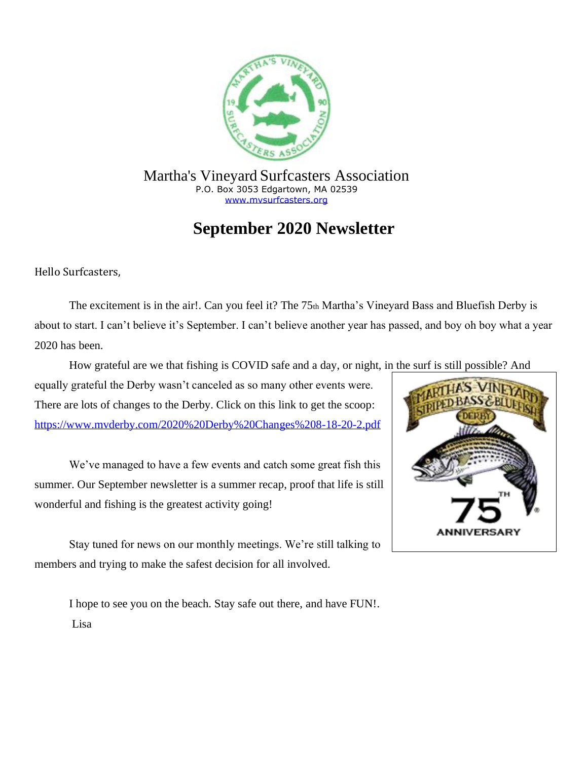

Martha's Vineyard Surfcasters Association P.O. Box 3053 Edgartown, MA 02539 [www.mvsurfcasters.org](http://www.mvsurfcasters.org/)

## **September 2020 Newsletter**

Hello Surfcasters,

The excitement is in the air!. Can you feel it? The 75th Martha's Vineyard Bass and Bluefish Derby is about to start. I can't believe it's September. I can't believe another year has passed, and boy oh boy what a year 2020 has been.

How grateful are we that fishing is COVID safe and a day, or night, in the surf is still possible? And

equally grateful the Derby wasn't canceled as so many other events were. There are lots of changes to the Derby. Click on this link to get the scoop: <https://www.mvderby.com/2020%20Derby%20Changes%208-18-20-2.pdf>

We've managed to have a few events and catch some great fish this summer. Our September newsletter is a summer recap, proof that life is still wonderful and fishing is the greatest activity going!

Stay tuned for news on our monthly meetings. We're still talking to members and trying to make the safest decision for all involved.

I hope to see you on the beach. Stay safe out there, and have FUN!. Lisa

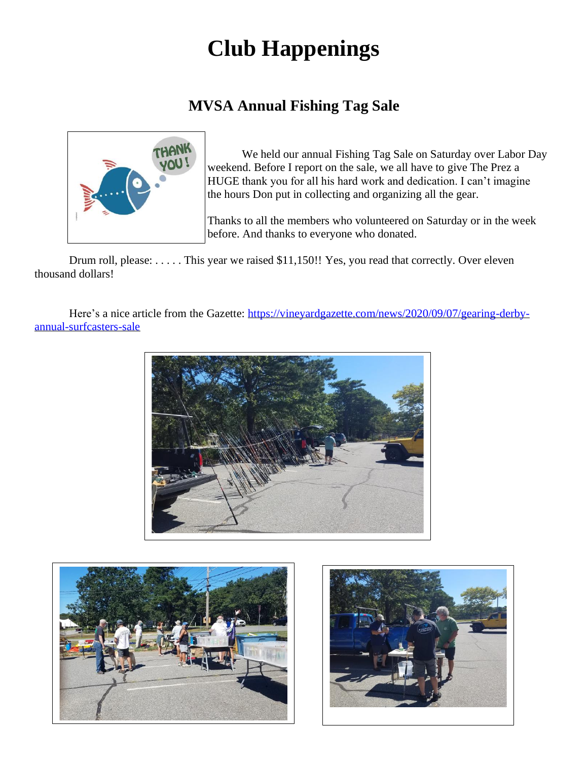# **Club Happenings**

### **MVSA Annual Fishing Tag Sale**



We held our annual Fishing Tag Sale on Saturday over Labor Day weekend. Before I report on the sale, we all have to give The Prez a HUGE thank you for all his hard work and dedication. I can't imagine the hours Don put in collecting and organizing all the gear.

Thanks to all the members who volunteered on Saturday or in the week before. And thanks to everyone who donated.

Drum roll, please: . . . . . This year we raised \$11,150!! Yes, you read that correctly. Over eleven thousand dollars!

Here's a nice article from the Gazette: [https://vineyardgazette.com/news/2020/09/07/gearing-derby](https://vineyardgazette.com/news/2020/09/07/gearing-derby-annual-surfcasters-sale)[annual-surfcasters-sale](https://vineyardgazette.com/news/2020/09/07/gearing-derby-annual-surfcasters-sale)





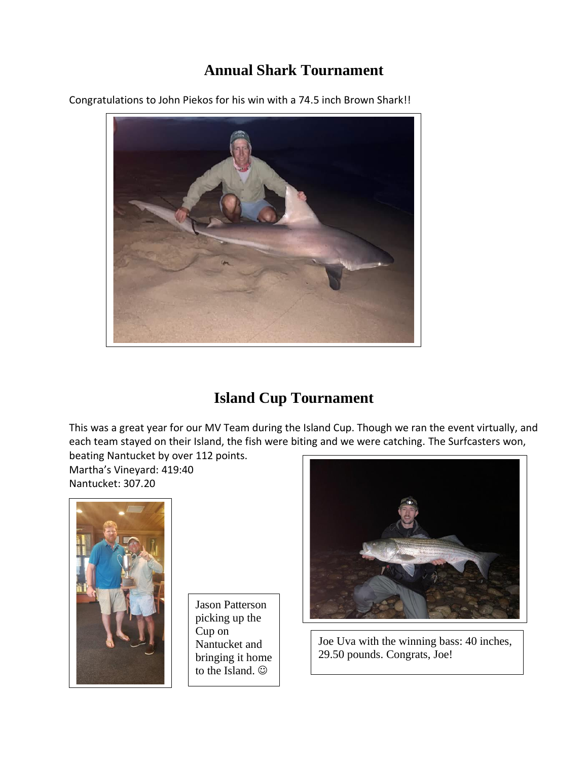### **Annual Shark Tournament**

Congratulations to John Piekos for his win with a 74.5 inch Brown Shark!!



### **Island Cup Tournament**

This was a great year for our MV Team during the Island Cup. Though we ran the event virtually, and each team stayed on their Island, the fish were biting and we were catching. The Surfcasters won,

beating Nantucket by over 112 points. Martha's Vineyard: 419:40 Nantucket: 307.20



Jason Patterson picking up the Cup on Nantucket and bringing it home to the Island. ☺



Joe Uva with the winning bass: 40 inches, 29.50 pounds. Congrats, Joe!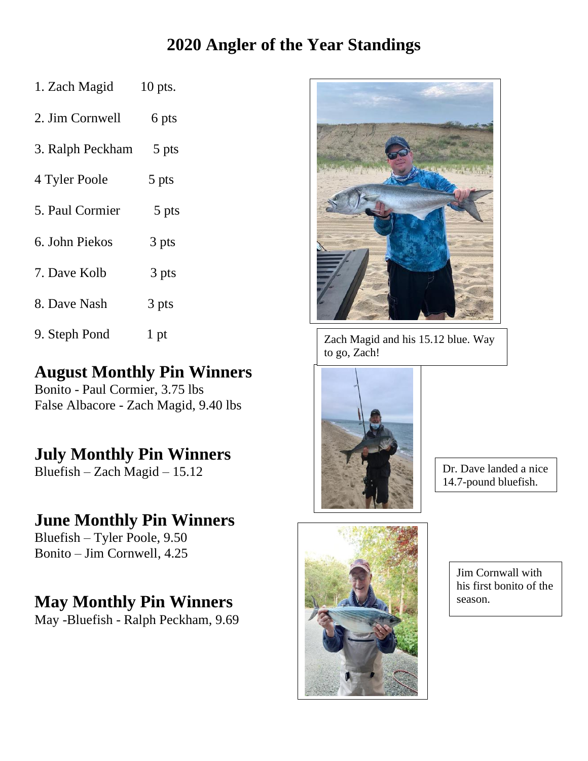# **2020 Angler of the Year Standings**

| 1. Zach Magid    | $10$ pts. |
|------------------|-----------|
| 2. Jim Cornwell  | 6 pts     |
| 3. Ralph Peckham | 5 pts     |
| 4 Tyler Poole    | 5 pts     |
| 5. Paul Cormier  | 5 pts     |
| 6. John Piekos   | 3 pts     |
| 7. Dave Kolb     | 3 pts     |
| 8. Dave Nash     | 3 pts     |
| 9. Steph Pond    | 1 pt      |

## **August Monthly Pin Winners**

Bonito - Paul Cormier, 3.75 lbs False Albacore - Zach Magid, 9.40 lbs

# **July Monthly Pin Winners**

Bluefish – Zach Magid – 15.12

# **June Monthly Pin Winners**

Bluefish – Tyler Poole, 9.50 Bonito – Jim Cornwell, 4.25

# **May Monthly Pin Winners**

May -Bluefish - Ralph Peckham, 9.69



Zach Magid and his 15.12 blue. Way to go, Zach!



Dr. Dave landed a nice 14.7-pound bluefish.



Jim Cornwall with his first bonito of the season.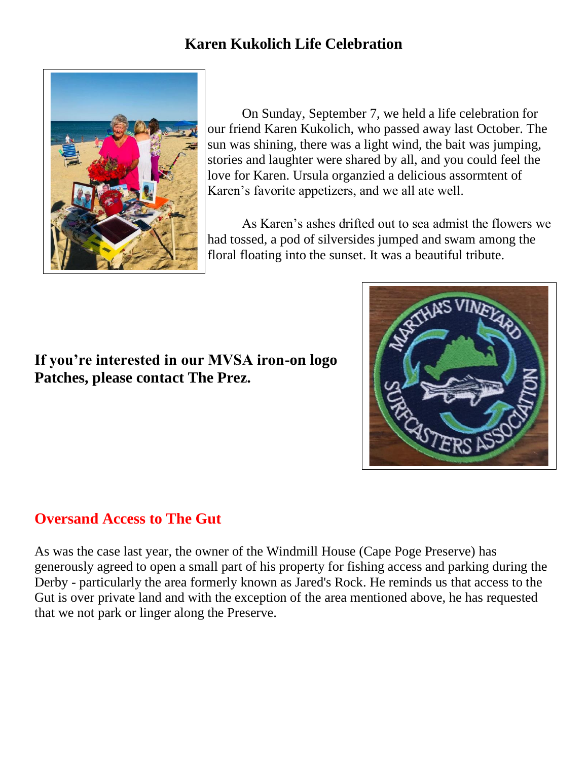### **Karen Kukolich Life Celebration**



On Sunday, September 7, we held a life celebration for our friend Karen Kukolich, who passed away last October. The sun was shining, there was a light wind, the bait was jumping, stories and laughter were shared by all, and you could feel the love for Karen. Ursula organzied a delicious assormtent of Karen's favorite appetizers, and we all ate well.

As Karen's ashes drifted out to sea admist the flowers we had tossed, a pod of silversides jumped and swam among the floral floating into the sunset. It was a beautiful tribute.

#### **If you're interested in our MVSA iron-on logo Patches, please contact The Prez.**



As was the case last year, the owner of the Windmill House (Cape Poge Preserve) has generously agreed to open a small part of his property for fishing access and parking during the Derby - particularly the area formerly known as Jared's Rock. He reminds us that access to the Gut is over private land and with the exception of the area mentioned above, he has requested that we not park or linger along the Preserve.